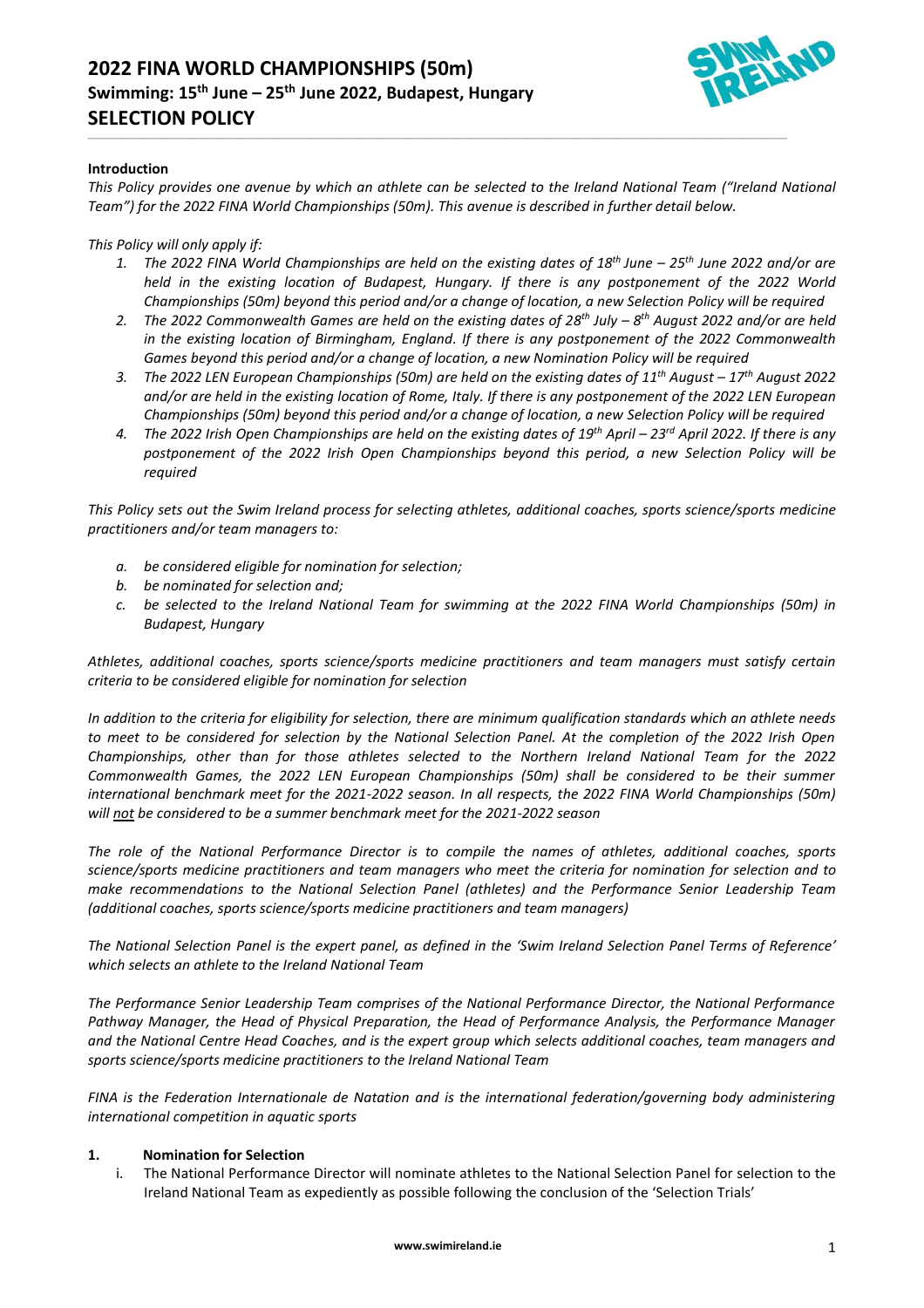

# **Introduction**

*This Policy provides one avenue by which an athlete can be selected to the Ireland National Team ("Ireland National Team") for the 2022 FINA World Championships (50m). This avenue is described in further detail below.*

\_\_\_\_\_\_\_\_\_\_\_\_\_\_\_\_\_\_\_\_\_\_\_\_\_\_\_\_\_\_\_\_\_\_\_\_\_\_\_\_\_\_\_\_\_\_\_\_\_\_\_\_\_\_\_\_\_\_\_\_\_\_\_\_\_\_\_\_\_\_\_\_\_\_\_\_\_\_\_\_\_\_\_\_\_\_\_\_\_\_\_\_\_\_\_\_\_\_\_\_\_\_\_\_\_\_\_\_\_\_\_\_\_\_\_\_\_\_\_\_\_\_\_\_\_\_\_\_\_\_\_\_\_\_\_\_\_\_\_\_\_\_\_\_\_\_\_\_\_\_\_\_\_\_\_\_\_\_\_\_\_\_\_\_\_\_\_\_\_\_\_\_\_\_\_\_\_\_\_\_

# *This Policy will only apply if:*

- *1. The 2022 FINA World Championships are held on the existing dates of 18th June – 25th June 2022 and/or are held in the existing location of Budapest, Hungary. If there is any postponement of the 2022 World Championships (50m) beyond this period and/or a change of location, a new Selection Policy will be required*
- *2. The 2022 Commonwealth Games are held on the existing dates of 28 th July – 8 th August 2022 and/or are held in the existing location of Birmingham, England. If there is any postponement of the 2022 Commonwealth Games beyond this period and/or a change of location, a new Nomination Policy will be required*
- *3. The 2022 LEN European Championships (50m) are held on the existing dates of 11 th August – 17th August 2022 and/or are held in the existing location of Rome, Italy. If there is any postponement of the 2022 LEN European Championships (50m) beyond this period and/or a change of location, a new Selection Policy will be required*
- *4. The 2022 Irish Open Championships are held on the existing dates of 19 th April – 23 rd April 2022. If there is any postponement of the 2022 Irish Open Championships beyond this period, a new Selection Policy will be required*

*This Policy sets out the Swim Ireland process for selecting athletes, additional coaches, sports science/sports medicine practitioners and/or team managers to:*

- *a. be considered eligible for nomination for selection;*
- *b. be nominated for selection and;*
- *c. be selected to the Ireland National Team for swimming at the 2022 FINA World Championships (50m) in Budapest, Hungary*

*Athletes, additional coaches, sports science/sports medicine practitioners and team managers must satisfy certain criteria to be considered eligible for nomination for selection*

*In addition to the criteria for eligibility for selection, there are minimum qualification standards which an athlete needs to meet to be considered for selection by the National Selection Panel. At the completion of the 2022 Irish Open Championships, other than for those athletes selected to the Northern Ireland National Team for the 2022 Commonwealth Games, the 2022 LEN European Championships (50m) shall be considered to be their summer international benchmark meet for the 2021-2022 season. In all respects, the 2022 FINA World Championships (50m) will not be considered to be a summer benchmark meet for the 2021-2022 season*

*The role of the National Performance Director is to compile the names of athletes, additional coaches, sports science/sports medicine practitioners and team managers who meet the criteria for nomination for selection and to make recommendations to the National Selection Panel (athletes) and the Performance Senior Leadership Team (additional coaches, sports science/sports medicine practitioners and team managers)*

*The National Selection Panel is the expert panel, as defined in the 'Swim Ireland Selection Panel Terms of Reference' which selects an athlete to the Ireland National Team*

*The Performance Senior Leadership Team comprises of the National Performance Director, the National Performance Pathway Manager, the Head of Physical Preparation, the Head of Performance Analysis, the Performance Manager and the National Centre Head Coaches, and is the expert group which selects additional coaches, team managers and sports science/sports medicine practitioners to the Ireland National Team*

*FINA is the Federation Internationale de Natation and is the international federation/governing body administering international competition in aquatic sports*

# **1. Nomination for Selection**

i. The National Performance Director will nominate athletes to the National Selection Panel for selection to the Ireland National Team as expediently as possible following the conclusion of the 'Selection Trials'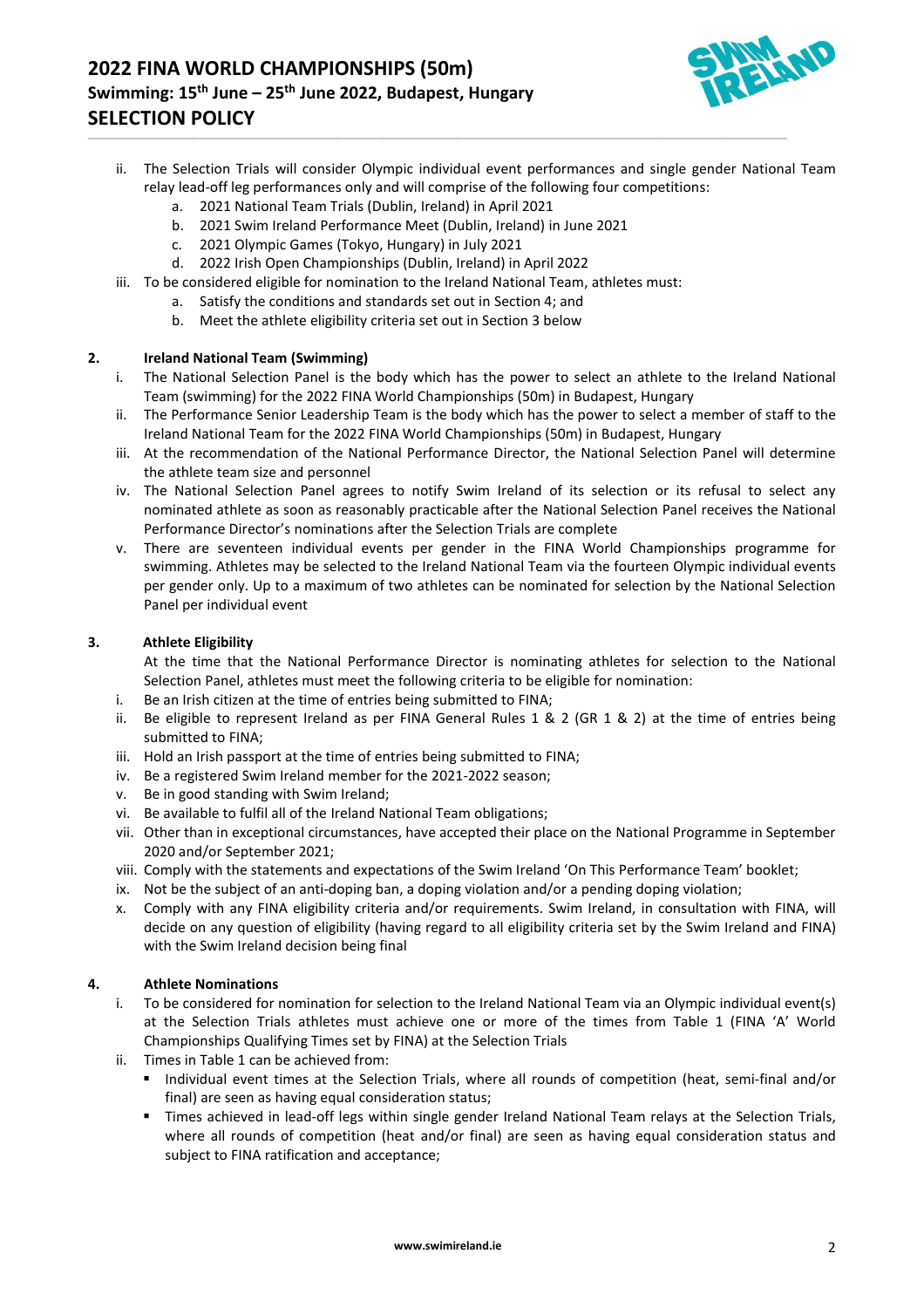

ii. The Selection Trials will consider Olympic individual event performances and single gender National Team relay lead-off leg performances only and will comprise of the following four competitions:

\_\_\_\_\_\_\_\_\_\_\_\_\_\_\_\_\_\_\_\_\_\_\_\_\_\_\_\_\_\_\_\_\_\_\_\_\_\_\_\_\_\_\_\_\_\_\_\_\_\_\_\_\_\_\_\_\_\_\_\_\_\_\_\_\_\_\_\_\_\_\_\_\_\_\_\_\_\_\_\_\_\_\_\_\_\_\_\_\_\_\_\_\_\_\_\_\_\_\_\_\_\_\_\_\_\_\_\_\_\_\_\_\_\_\_\_\_\_\_\_\_\_\_\_\_\_\_\_\_\_\_\_\_\_\_\_\_\_\_\_\_\_\_\_\_\_\_\_\_\_\_\_\_\_\_\_\_\_\_\_\_\_\_\_\_\_\_\_\_\_\_\_\_\_\_\_\_\_\_\_

- a. 2021 National Team Trials (Dublin, Ireland) in April 2021
- b. 2021 Swim Ireland Performance Meet (Dublin, Ireland) in June 2021
- c. 2021 Olympic Games (Tokyo, Hungary) in July 2021
- d. 2022 Irish Open Championships (Dublin, Ireland) in April 2022
- iii. To be considered eligible for nomination to the Ireland National Team, athletes must:
	- a. Satisfy the conditions and standards set out in Section 4; and
	- b. Meet the athlete eligibility criteria set out in Section 3 below

# **2. Ireland National Team (Swimming)**

- i. The National Selection Panel is the body which has the power to select an athlete to the Ireland National Team (swimming) for the 2022 FINA World Championships (50m) in Budapest, Hungary
- ii. The Performance Senior Leadership Team is the body which has the power to select a member of staff to the Ireland National Team for the 2022 FINA World Championships (50m) in Budapest, Hungary
- iii. At the recommendation of the National Performance Director, the National Selection Panel will determine the athlete team size and personnel
- iv. The National Selection Panel agrees to notify Swim Ireland of its selection or its refusal to select any nominated athlete as soon as reasonably practicable after the National Selection Panel receives the National Performance Director's nominations after the Selection Trials are complete
- v. There are seventeen individual events per gender in the FINA World Championships programme for swimming. Athletes may be selected to the Ireland National Team via the fourteen Olympic individual events per gender only. Up to a maximum of two athletes can be nominated for selection by the National Selection Panel per individual event

# **3. Athlete Eligibility**

At the time that the National Performance Director is nominating athletes for selection to the National Selection Panel, athletes must meet the following criteria to be eligible for nomination:

- i. Be an Irish citizen at the time of entries being submitted to FINA;
- ii. Be eligible to represent Ireland as per FINA General Rules 1 & 2 (GR 1 & 2) at the time of entries being submitted to FINA;
- iii. Hold an Irish passport at the time of entries being submitted to FINA;
- iv. Be a registered Swim Ireland member for the 2021-2022 season;
- v. Be in good standing with Swim Ireland;
- vi. Be available to fulfil all of the Ireland National Team obligations;
- vii. Other than in exceptional circumstances, have accepted their place on the National Programme in September 2020 and/or September 2021;
- viii. Comply with the statements and expectations of the Swim Ireland 'On This Performance Team' booklet;
- ix. Not be the subject of an anti-doping ban, a doping violation and/or a pending doping violation;
- x. Comply with any FINA eligibility criteria and/or requirements. Swim Ireland, in consultation with FINA, will decide on any question of eligibility (having regard to all eligibility criteria set by the Swim Ireland and FINA) with the Swim Ireland decision being final

# **4. Athlete Nominations**

- i. To be considered for nomination for selection to the Ireland National Team via an Olympic individual event(s) at the Selection Trials athletes must achieve one or more of the times from Table 1 (FINA 'A' World Championships Qualifying Times set by FINA) at the Selection Trials
- ii. Times in Table 1 can be achieved from:
	- Individual event times at the Selection Trials, where all rounds of competition (heat, semi-final and/or final) are seen as having equal consideration status;
	- Times achieved in lead-off legs within single gender Ireland National Team relays at the Selection Trials, where all rounds of competition (heat and/or final) are seen as having equal consideration status and subject to FINA ratification and acceptance;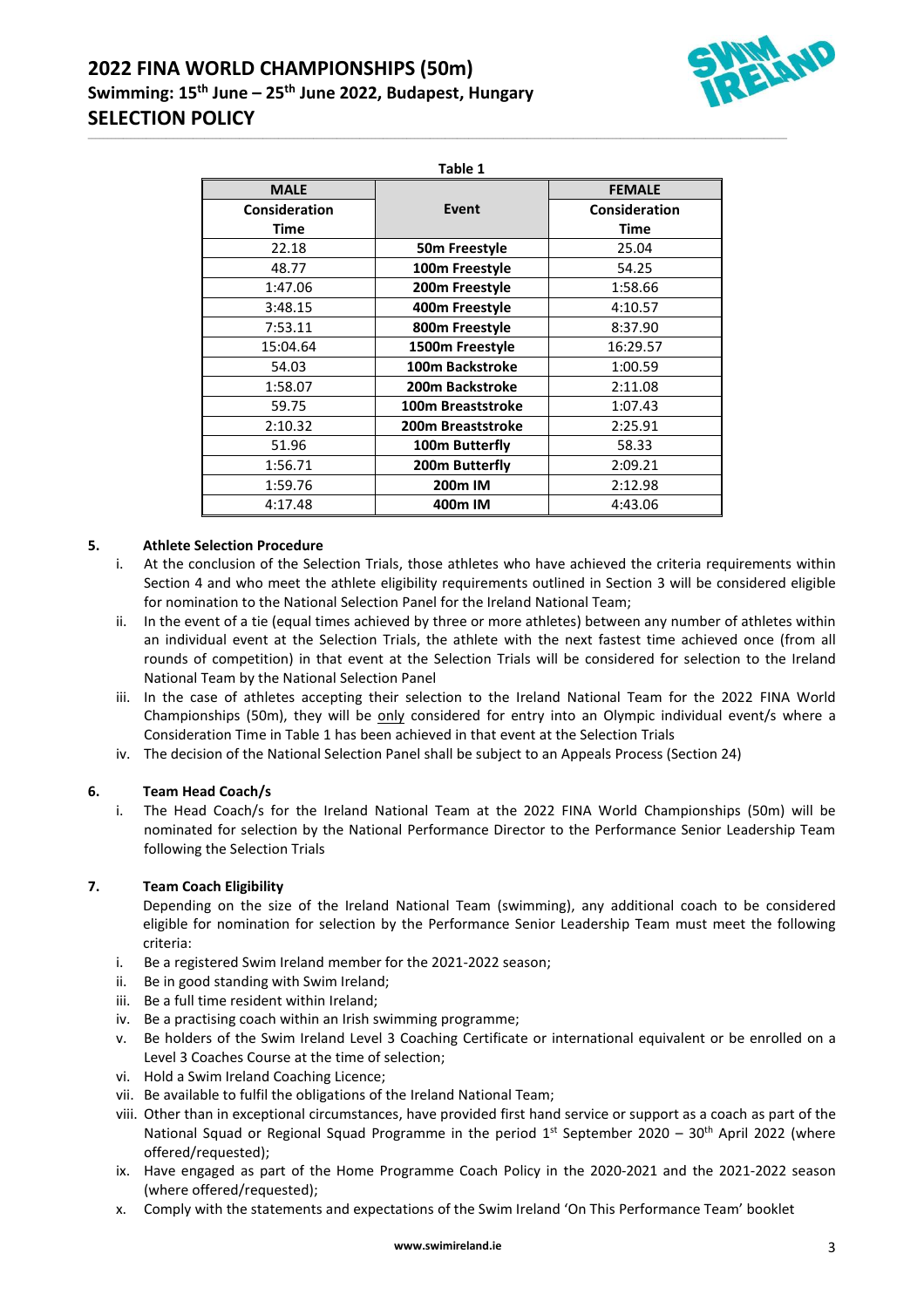# **2022 FINA WORLD CHAMPIONSHIPS (50m) Swimming: 15th June – 25th June 2022, Budapest, Hungary SELECTION POLICY**



\_\_\_\_\_\_\_\_\_\_\_\_\_\_\_\_\_\_\_\_\_\_\_\_\_\_\_\_\_\_\_\_\_\_\_\_\_\_\_\_\_\_\_\_\_\_\_\_\_\_\_\_\_\_\_\_\_\_\_\_\_\_\_\_\_\_\_\_\_\_\_\_\_\_\_\_\_\_\_\_\_\_\_\_\_\_\_\_\_\_\_\_\_\_\_\_\_\_\_\_\_\_\_\_\_\_\_\_\_\_\_\_\_\_\_\_\_\_\_\_\_\_\_\_\_\_\_\_\_\_\_\_\_\_\_\_\_\_\_\_\_\_\_\_\_\_\_\_\_\_\_\_\_\_\_\_\_\_\_\_\_\_\_\_\_\_\_\_\_\_\_\_\_\_\_\_\_\_\_\_

| <b>MALE</b>          |                           | <b>FEMALE</b>        |
|----------------------|---------------------------|----------------------|
| <b>Consideration</b> | Event                     | <b>Consideration</b> |
| <b>Time</b>          |                           | <b>Time</b>          |
| 22.18                | 50 <sub>m</sub> Freestyle | 25.04                |
| 48.77                | 100m Freestyle            | 54.25                |
| 1:47.06              | 200m Freestyle            | 1:58.66              |
| 3:48.15              | 400m Freestyle            | 4:10.57              |
| 7:53.11              | 800m Freestyle            | 8:37.90              |
| 15:04.64             | 1500m Freestyle           | 16:29.57             |
| 54.03                | 100m Backstroke           | 1:00.59              |
| 1:58.07              | 200m Backstroke           | 2:11.08              |
| 59.75                | 100m Breaststroke         | 1:07.43              |
| 2:10.32              | 200m Breaststroke         | 2:25.91              |
| 51.96                | 100m Butterfly            | 58.33                |
| 1:56.71              | 200m Butterfly            | 2:09.21              |
| 1:59.76              | 200m IM                   | 2:12.98              |
| 4:17.48              | 400m IM                   | 4:43.06              |

# **5. Athlete Selection Procedure**

- i. At the conclusion of the Selection Trials, those athletes who have achieved the criteria requirements within Section 4 and who meet the athlete eligibility requirements outlined in Section 3 will be considered eligible for nomination to the National Selection Panel for the Ireland National Team;
- ii. In the event of a tie (equal times achieved by three or more athletes) between any number of athletes within an individual event at the Selection Trials, the athlete with the next fastest time achieved once (from all rounds of competition) in that event at the Selection Trials will be considered for selection to the Ireland National Team by the National Selection Panel
- iii. In the case of athletes accepting their selection to the Ireland National Team for the 2022 FINA World Championships (50m), they will be only considered for entry into an Olympic individual event/s where a Consideration Time in Table 1 has been achieved in that event at the Selection Trials
- iv. The decision of the National Selection Panel shall be subject to an Appeals Process (Section 24)

# **6. Team Head Coach/s**

i. The Head Coach/s for the Ireland National Team at the 2022 FINA World Championships (50m) will be nominated for selection by the National Performance Director to the Performance Senior Leadership Team following the Selection Trials

# **7. Team Coach Eligibility**

Depending on the size of the Ireland National Team (swimming), any additional coach to be considered eligible for nomination for selection by the Performance Senior Leadership Team must meet the following criteria:

- i. Be a registered Swim Ireland member for the 2021-2022 season;
- ii. Be in good standing with Swim Ireland;
- iii. Be a full time resident within Ireland;
- iv. Be a practising coach within an Irish swimming programme;
- v. Be holders of the Swim Ireland Level 3 Coaching Certificate or international equivalent or be enrolled on a Level 3 Coaches Course at the time of selection;
- vi. Hold a Swim Ireland Coaching Licence;
- vii. Be available to fulfil the obligations of the Ireland National Team;
- viii. Other than in exceptional circumstances, have provided first hand service or support as a coach as part of the National Squad or Regional Squad Programme in the period  $1<sup>st</sup>$  September 2020 – 30<sup>th</sup> April 2022 (where offered/requested);
- ix. Have engaged as part of the Home Programme Coach Policy in the 2020-2021 and the 2021-2022 season (where offered/requested);
- x. Comply with the statements and expectations of the Swim Ireland 'On This Performance Team' booklet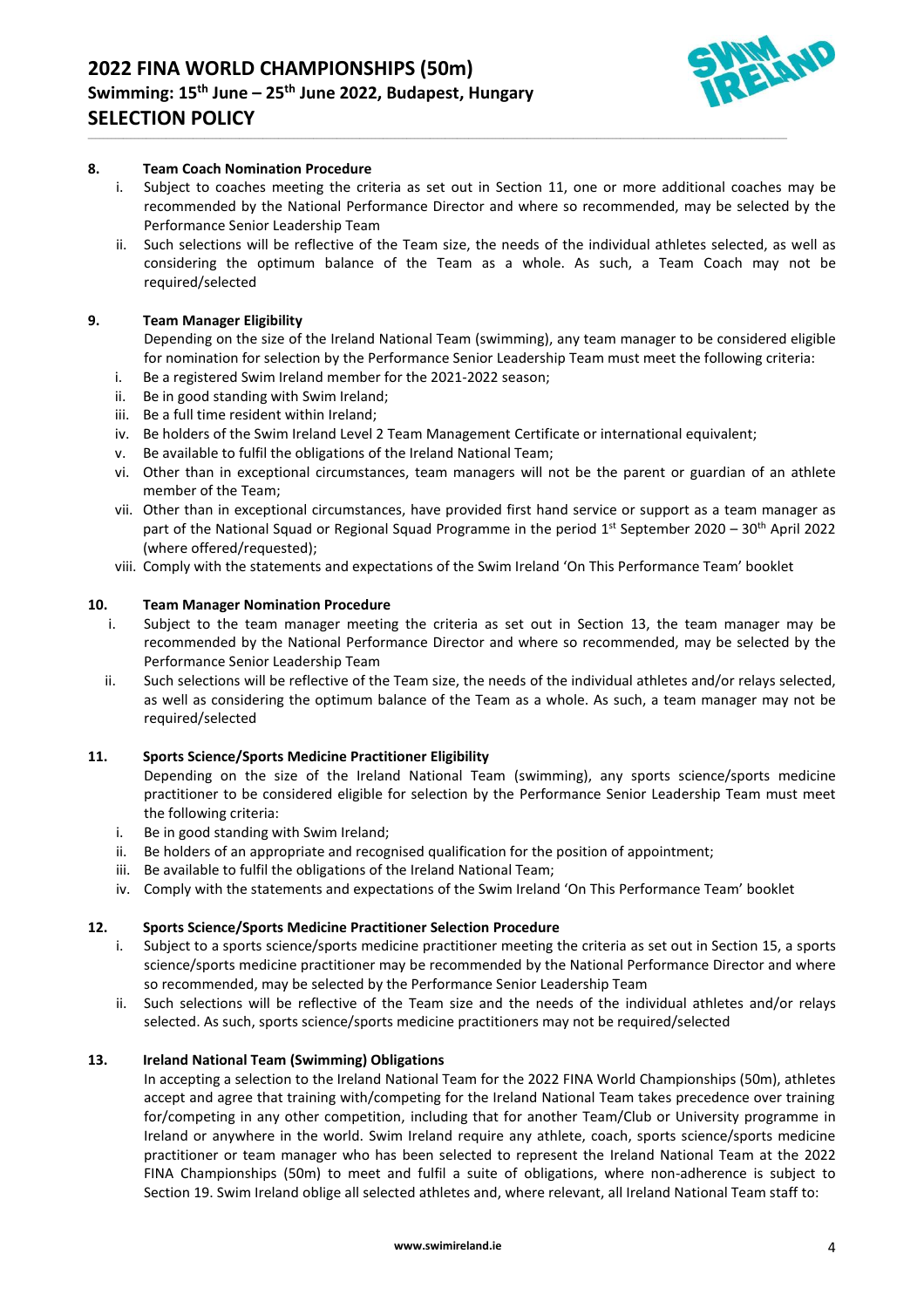

#### **8. Team Coach Nomination Procedure**

i. Subject to coaches meeting the criteria as set out in Section 11, one or more additional coaches may be recommended by the National Performance Director and where so recommended, may be selected by the Performance Senior Leadership Team

\_\_\_\_\_\_\_\_\_\_\_\_\_\_\_\_\_\_\_\_\_\_\_\_\_\_\_\_\_\_\_\_\_\_\_\_\_\_\_\_\_\_\_\_\_\_\_\_\_\_\_\_\_\_\_\_\_\_\_\_\_\_\_\_\_\_\_\_\_\_\_\_\_\_\_\_\_\_\_\_\_\_\_\_\_\_\_\_\_\_\_\_\_\_\_\_\_\_\_\_\_\_\_\_\_\_\_\_\_\_\_\_\_\_\_\_\_\_\_\_\_\_\_\_\_\_\_\_\_\_\_\_\_\_\_\_\_\_\_\_\_\_\_\_\_\_\_\_\_\_\_\_\_\_\_\_\_\_\_\_\_\_\_\_\_\_\_\_\_\_\_\_\_\_\_\_\_\_\_\_

ii. Such selections will be reflective of the Team size, the needs of the individual athletes selected, as well as considering the optimum balance of the Team as a whole. As such, a Team Coach may not be required/selected

#### **9. Team Manager Eligibility**

Depending on the size of the Ireland National Team (swimming), any team manager to be considered eligible for nomination for selection by the Performance Senior Leadership Team must meet the following criteria:

- i. Be a registered Swim Ireland member for the 2021-2022 season;
- ii. Be in good standing with Swim Ireland;
- iii. Be a full time resident within Ireland;
- iv. Be holders of the Swim Ireland Level 2 Team Management Certificate or international equivalent;
- v. Be available to fulfil the obligations of the Ireland National Team;
- vi. Other than in exceptional circumstances, team managers will not be the parent or guardian of an athlete member of the Team;
- vii. Other than in exceptional circumstances, have provided first hand service or support as a team manager as part of the National Squad or Regional Squad Programme in the period 1<sup>st</sup> September 2020 – 30<sup>th</sup> April 2022 (where offered/requested);
- viii. Comply with the statements and expectations of the Swim Ireland 'On This Performance Team' booklet

#### **10. Team Manager Nomination Procedure**

- i. Subject to the team manager meeting the criteria as set out in Section 13, the team manager may be recommended by the National Performance Director and where so recommended, may be selected by the Performance Senior Leadership Team
- ii. Such selections will be reflective of the Team size, the needs of the individual athletes and/or relays selected, as well as considering the optimum balance of the Team as a whole. As such, a team manager may not be required/selected

#### **11. Sports Science/Sports Medicine Practitioner Eligibility**

Depending on the size of the Ireland National Team (swimming), any sports science/sports medicine practitioner to be considered eligible for selection by the Performance Senior Leadership Team must meet the following criteria:

- i. Be in good standing with Swim Ireland;
- ii. Be holders of an appropriate and recognised qualification for the position of appointment;
- iii. Be available to fulfil the obligations of the Ireland National Team;
- iv. Comply with the statements and expectations of the Swim Ireland 'On This Performance Team' booklet

# **12. Sports Science/Sports Medicine Practitioner Selection Procedure**

- i. Subject to a sports science/sports medicine practitioner meeting the criteria as set out in Section 15, a sports science/sports medicine practitioner may be recommended by the National Performance Director and where so recommended, may be selected by the Performance Senior Leadership Team
- ii. Such selections will be reflective of the Team size and the needs of the individual athletes and/or relays selected. As such, sports science/sports medicine practitioners may not be required/selected

#### **13. Ireland National Team (Swimming) Obligations**

In accepting a selection to the Ireland National Team for the 2022 FINA World Championships (50m), athletes accept and agree that training with/competing for the Ireland National Team takes precedence over training for/competing in any other competition, including that for another Team/Club or University programme in Ireland or anywhere in the world. Swim Ireland require any athlete, coach, sports science/sports medicine practitioner or team manager who has been selected to represent the Ireland National Team at the 2022 FINA Championships (50m) to meet and fulfil a suite of obligations, where non-adherence is subject to Section 19. Swim Ireland oblige all selected athletes and, where relevant, all Ireland National Team staff to: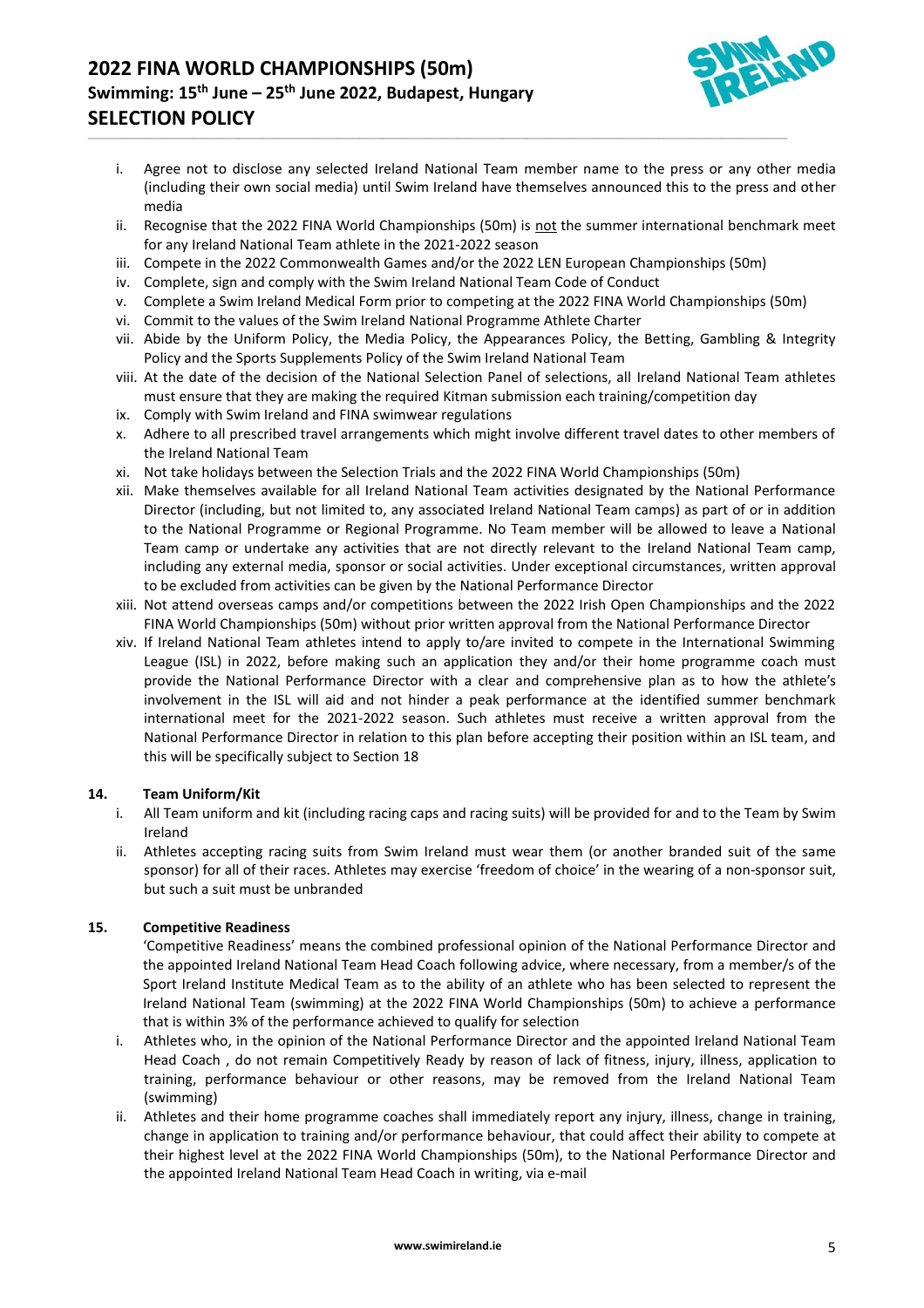# **2022 FINA WORLD CHAMPIONSHIPS (50m) Swimming: 15th June – 25th June 2022, Budapest, Hungary SELECTION POLICY**



- i. Agree not to disclose any selected Ireland National Team member name to the press or any other media (including their own social media) until Swim Ireland have themselves announced this to the press and other media
- ii. Recognise that the 2022 FINA World Championships (50m) is not the summer international benchmark meet for any Ireland National Team athlete in the 2021-2022 season
- iii. Compete in the 2022 Commonwealth Games and/or the 2022 LEN European Championships (50m)

\_\_\_\_\_\_\_\_\_\_\_\_\_\_\_\_\_\_\_\_\_\_\_\_\_\_\_\_\_\_\_\_\_\_\_\_\_\_\_\_\_\_\_\_\_\_\_\_\_\_\_\_\_\_\_\_\_\_\_\_\_\_\_\_\_\_\_\_\_\_\_\_\_\_\_\_\_\_\_\_\_\_\_\_\_\_\_\_\_\_\_\_\_\_\_\_\_\_\_\_\_\_\_\_\_\_\_\_\_\_\_\_\_\_\_\_\_\_\_\_\_\_\_\_\_\_\_\_\_\_\_\_\_\_\_\_\_\_\_\_\_\_\_\_\_\_\_\_\_\_\_\_\_\_\_\_\_\_\_\_\_\_\_\_\_\_\_\_\_\_\_\_\_\_\_\_\_\_\_\_

- iv. Complete, sign and comply with the Swim Ireland National Team Code of Conduct
- v. Complete a Swim Ireland Medical Form prior to competing at the 2022 FINA World Championships (50m)
- vi. Commit to the values of the Swim Ireland National Programme Athlete Charter
- vii. Abide by the Uniform Policy, the Media Policy, the Appearances Policy, the Betting, Gambling & Integrity Policy and the Sports Supplements Policy of the Swim Ireland National Team
- viii. At the date of the decision of the National Selection Panel of selections, all Ireland National Team athletes must ensure that they are making the required Kitman submission each training/competition day
- ix. Comply with Swim Ireland and FINA swimwear regulations
- x. Adhere to all prescribed travel arrangements which might involve different travel dates to other members of the Ireland National Team
- xi. Not take holidays between the Selection Trials and the 2022 FINA World Championships (50m)
- xii. Make themselves available for all Ireland National Team activities designated by the National Performance Director (including, but not limited to, any associated Ireland National Team camps) as part of or in addition to the National Programme or Regional Programme. No Team member will be allowed to leave a National Team camp or undertake any activities that are not directly relevant to the Ireland National Team camp, including any external media, sponsor or social activities. Under exceptional circumstances, written approval to be excluded from activities can be given by the National Performance Director
- xiii. Not attend overseas camps and/or competitions between the 2022 Irish Open Championships and the 2022 FINA World Championships (50m) without prior written approval from the National Performance Director
- xiv. If Ireland National Team athletes intend to apply to/are invited to compete in the International Swimming League (ISL) in 2022, before making such an application they and/or their home programme coach must provide the National Performance Director with a clear and comprehensive plan as to how the athlete's involvement in the ISL will aid and not hinder a peak performance at the identified summer benchmark international meet for the 2021-2022 season. Such athletes must receive a written approval from the National Performance Director in relation to this plan before accepting their position within an ISL team, and this will be specifically subject to Section 18

# **14. Team Uniform/Kit**

- i. All Team uniform and kit (including racing caps and racing suits) will be provided for and to the Team by Swim Ireland
- ii. Athletes accepting racing suits from Swim Ireland must wear them (or another branded suit of the same sponsor) for all of their races. Athletes may exercise 'freedom of choice' in the wearing of a non-sponsor suit, but such a suit must be unbranded

# **15. Competitive Readiness**

'Competitive Readiness' means the combined professional opinion of the National Performance Director and the appointed Ireland National Team Head Coach following advice, where necessary, from a member/s of the Sport Ireland Institute Medical Team as to the ability of an athlete who has been selected to represent the Ireland National Team (swimming) at the 2022 FINA World Championships (50m) to achieve a performance that is within 3% of the performance achieved to qualify for selection

- i. Athletes who, in the opinion of the National Performance Director and the appointed Ireland National Team Head Coach , do not remain Competitively Ready by reason of lack of fitness, injury, illness, application to training, performance behaviour or other reasons, may be removed from the Ireland National Team (swimming)
- ii. Athletes and their home programme coaches shall immediately report any injury, illness, change in training, change in application to training and/or performance behaviour, that could affect their ability to compete at their highest level at the 2022 FINA World Championships (50m), to the National Performance Director and the appointed Ireland National Team Head Coach in writing, via e-mail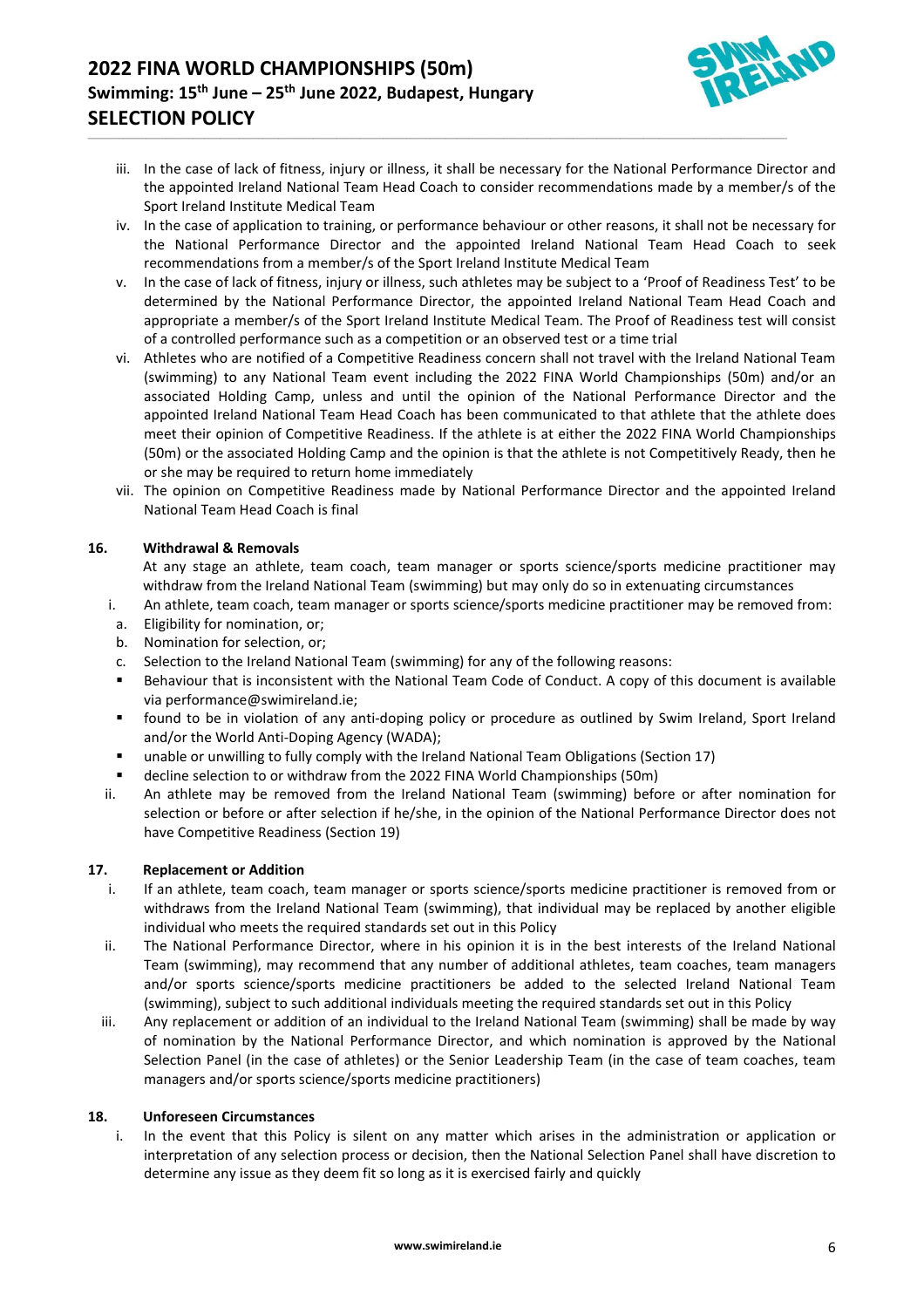

iii. In the case of lack of fitness, injury or illness, it shall be necessary for the National Performance Director and the appointed Ireland National Team Head Coach to consider recommendations made by a member/s of the Sport Ireland Institute Medical Team

\_\_\_\_\_\_\_\_\_\_\_\_\_\_\_\_\_\_\_\_\_\_\_\_\_\_\_\_\_\_\_\_\_\_\_\_\_\_\_\_\_\_\_\_\_\_\_\_\_\_\_\_\_\_\_\_\_\_\_\_\_\_\_\_\_\_\_\_\_\_\_\_\_\_\_\_\_\_\_\_\_\_\_\_\_\_\_\_\_\_\_\_\_\_\_\_\_\_\_\_\_\_\_\_\_\_\_\_\_\_\_\_\_\_\_\_\_\_\_\_\_\_\_\_\_\_\_\_\_\_\_\_\_\_\_\_\_\_\_\_\_\_\_\_\_\_\_\_\_\_\_\_\_\_\_\_\_\_\_\_\_\_\_\_\_\_\_\_\_\_\_\_\_\_\_\_\_\_\_\_

- iv. In the case of application to training, or performance behaviour or other reasons, it shall not be necessary for the National Performance Director and the appointed Ireland National Team Head Coach to seek recommendations from a member/s of the Sport Ireland Institute Medical Team
- v. In the case of lack of fitness, injury or illness, such athletes may be subject to a 'Proof of Readiness Test' to be determined by the National Performance Director, the appointed Ireland National Team Head Coach and appropriate a member/s of the Sport Ireland Institute Medical Team. The Proof of Readiness test will consist of a controlled performance such as a competition or an observed test or a time trial
- vi. Athletes who are notified of a Competitive Readiness concern shall not travel with the Ireland National Team (swimming) to any National Team event including the 2022 FINA World Championships (50m) and/or an associated Holding Camp, unless and until the opinion of the National Performance Director and the appointed Ireland National Team Head Coach has been communicated to that athlete that the athlete does meet their opinion of Competitive Readiness. If the athlete is at either the 2022 FINA World Championships (50m) or the associated Holding Camp and the opinion is that the athlete is not Competitively Ready, then he or she may be required to return home immediately
- vii. The opinion on Competitive Readiness made by National Performance Director and the appointed Ireland National Team Head Coach is final

# **16. Withdrawal & Removals**

At any stage an athlete, team coach, team manager or sports science/sports medicine practitioner may withdraw from the Ireland National Team (swimming) but may only do so in extenuating circumstances

- i. An athlete, team coach, team manager or sports science/sports medicine practitioner may be removed from:
- a. Eligibility for nomination, or;
- b. Nomination for selection, or;
- c. Selection to the Ireland National Team (swimming) for any of the following reasons:
- Behaviour that is inconsistent with the National Team Code of Conduct. A copy of this document is available vi[a performance@swimireland.ie;](mailto:performance@swimireland.ie)
- found to be in violation of any anti-doping policy or procedure as outlined by Swim Ireland, Sport Ireland and/or the World Anti-Doping Agency (WADA);
- unable or unwilling to fully comply with the Ireland National Team Obligations (Section 17)
- decline selection to or withdraw from the 2022 FINA World Championships (50m)
- ii. An athlete may be removed from the Ireland National Team (swimming) before or after nomination for selection or before or after selection if he/she, in the opinion of the National Performance Director does not have Competitive Readiness (Section 19)

# **17. Replacement or Addition**

- i. If an athlete, team coach, team manager or sports science/sports medicine practitioner is removed from or withdraws from the Ireland National Team (swimming), that individual may be replaced by another eligible individual who meets the required standards set out in this Policy
- ii. The National Performance Director, where in his opinion it is in the best interests of the Ireland National Team (swimming), may recommend that any number of additional athletes, team coaches, team managers and/or sports science/sports medicine practitioners be added to the selected Ireland National Team (swimming), subject to such additional individuals meeting the required standards set out in this Policy
- iii. Any replacement or addition of an individual to the Ireland National Team (swimming) shall be made by way of nomination by the National Performance Director, and which nomination is approved by the National Selection Panel (in the case of athletes) or the Senior Leadership Team (in the case of team coaches, team managers and/or sports science/sports medicine practitioners)

# **18. Unforeseen Circumstances**

i. In the event that this Policy is silent on any matter which arises in the administration or application or interpretation of any selection process or decision, then the National Selection Panel shall have discretion to determine any issue as they deem fit so long as it is exercised fairly and quickly